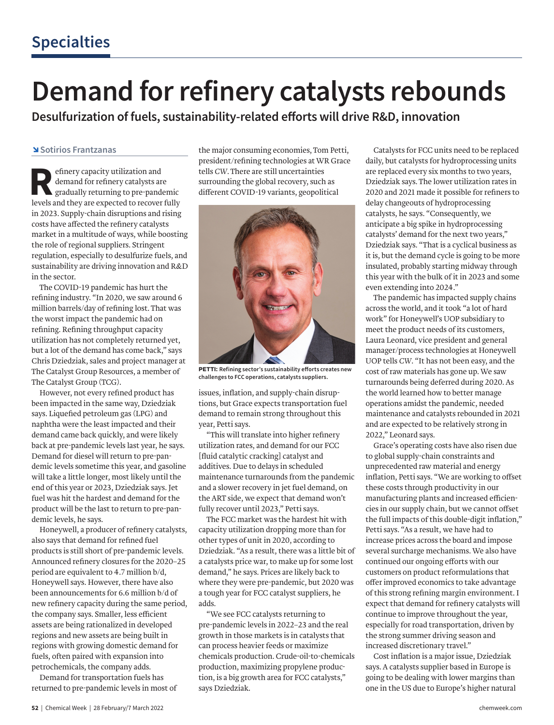## **Demand for refinery catalysts rebounds**

**Desulfurization of fuels, sustainability-related efforts will drive R&D, innovation**

## ↘**Sotirios Frantzanas**

Example of the emand for refinery catalysts and gradually returning to pre-pand<br>levels and they are expected to recover demand for refinery catalysts are gradually returning to pre-pandemic levels and they are expected to recover fully in 2023. Supply-chain disruptions and rising costs have affected the refinery catalysts market in a multitude of ways, while boosting the role of regional suppliers. Stringent regulation, especially to desulfurize fuels, and sustainability are driving innovation and R&D in the sector.

The COVID-19 pandemic has hurt the refining industry. "In 2020, we saw around 6 million barrels/day of refining lost. That was the worst impact the pandemic had on refining. Refining throughput capacity utilization has not completely returned yet, but a lot of the demand has come back," says Chris Dziedziak, sales and project manager at The Catalyst Group Resources, a member of The Catalyst Group (TCG).

However, not every refined product has been impacted in the same way, Dziedziak says. Liquefied petroleum gas (LPG) and naphtha were the least impacted and their demand came back quickly, and were likely back at pre-pandemic levels last year, he says. Demand for diesel will return to pre-pandemic levels sometime this year, and gasoline will take a little longer, most likely until the end of this year or 2023, Dziedziak says. Jet fuel was hit the hardest and demand for the product will be the last to return to pre-pandemic levels, he says.

Honeywell, a producer of refinery catalysts, also says that demand for refined fuel products is still short of pre-pandemic levels. Announced refinery closures for the 2020–25 period are equivalent to 4.7 million b/d, Honeywell says. However, there have also been announcements for 6.6 million b/d of new refinery capacity during the same period, the company says. Smaller, less efficient assets are being rationalized in developed regions and new assets are being built in regions with growing domestic demand for fuels, often paired with expansion into petrochemicals, the company adds.

Demand for transportation fuels has returned to pre-pandemic levels in most of the major consuming economies, Tom Petti, president/refining technologies at WR Grace tells *CW*. There are still uncertainties surrounding the global recovery, such as different COVID-19 variants, geopolitical



**PETTI: Refining sector's sustainability efforts creates new challenges to FCC operations, catalysts suppliers.**

issues, inflation, and supply-chain disruptions, but Grace expects transportation fuel demand to remain strong throughout this year, Petti says.

"This will translate into higher refinery utilization rates, and demand for our FCC [fluid catalytic cracking] catalyst and additives. Due to delays in scheduled maintenance turnarounds from the pandemic and a slower recovery in jet fuel demand, on the ART side, we expect that demand won't fully recover until 2023," Petti says.

The FCC market was the hardest hit with capacity utilization dropping more than for other types of unit in 2020, according to Dziedziak. "As a result, there was a little bit of a catalysts price war, to make up for some lost demand," he says. Prices are likely back to where they were pre-pandemic, but 2020 was a tough year for FCC catalyst suppliers, he adds.

"We see FCC catalysts returning to pre-pandemic levels in 2022–23 and the real growth in those markets is in catalysts that can process heavier feeds or maximize chemicals production. Crude-oil-to-chemicals production, maximizing propylene production, is a big growth area for FCC catalysts," says Dziedziak.

Catalysts for FCC units need to be replaced daily, but catalysts for hydroprocessing units are replaced every six months to two years, Dziedziak says. The lower utilization rates in 2020 and 2021 made it possible for refiners to delay changeouts of hydroprocessing catalysts, he says. "Consequently, we anticipate a big spike in hydroprocessing catalysts' demand for the next two years," Dziedziak says. "That is a cyclical business as it is, but the demand cycle is going to be more insulated, probably starting midway through this year with the bulk of it in 2023 and some even extending into 2024."

The pandemic has impacted supply chains across the world, and it took "a lot of hard work" for Honeywell's UOP subsidiary to meet the product needs of its customers, Laura Leonard, vice president and general manager/process technologies at Honeywell UOP tells *CW*. "It has not been easy, and the cost of raw materials has gone up. We saw turnarounds being deferred during 2020. As the world learned how to better manage operations amidst the pandemic, needed maintenance and catalysts rebounded in 2021 and are expected to be relatively strong in 2022," Leonard says.

Grace's operating costs have also risen due to global supply-chain constraints and unprecedented raw material and energy inflation, Petti says. "We are working to offset these costs through productivity in our manufacturing plants and increased efficiencies in our supply chain, but we cannot offset the full impacts of this double-digit inflation," Petti says. "As a result, we have had to increase prices across the board and impose several surcharge mechanisms. We also have continued our ongoing efforts with our customers on product reformulations that offer improved economics to take advantage of this strong refining margin environment. I expect that demand for refinery catalysts will continue to improve throughout the year, especially for road transportation, driven by the strong summer driving season and increased discretionary travel."

Cost inflation is a major issue, Dziedziak says. A catalysts supplier based in Europe is going to be dealing with lower margins than one in the US due to Europe's higher natural